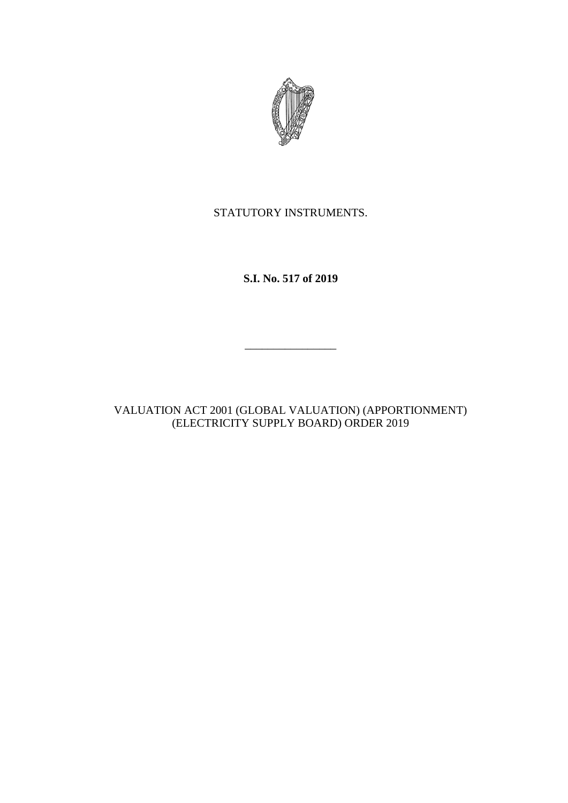

STATUTORY INSTRUMENTS.

**S.I. No. 517 of 2019**

 $\frac{1}{2}$ 

VALUATION ACT 2001 (GLOBAL VALUATION) (APPORTIONMENT) (ELECTRICITY SUPPLY BOARD) ORDER 2019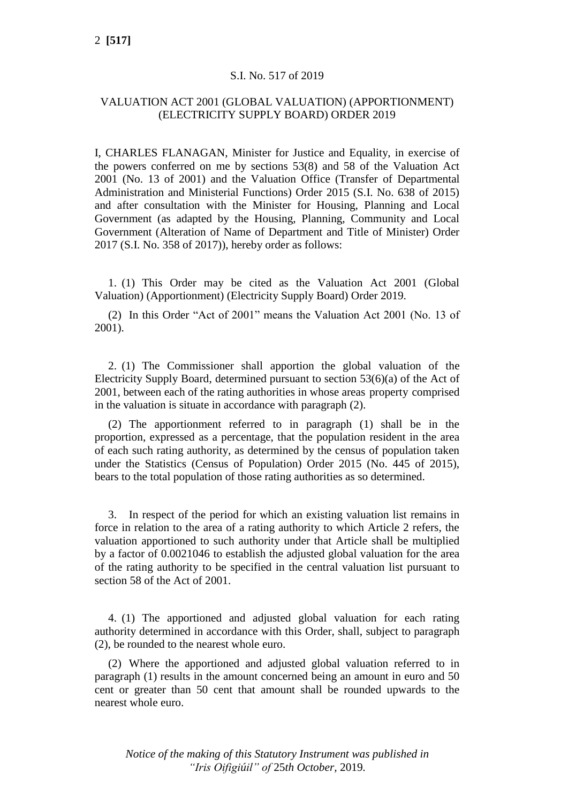## S.I. No. 517 of 2019

## VALUATION ACT 2001 (GLOBAL VALUATION) (APPORTIONMENT) (ELECTRICITY SUPPLY BOARD) ORDER 2019

I, CHARLES FLANAGAN, Minister for Justice and Equality, in exercise of the powers conferred on me by sections 53(8) and 58 of the Valuation Act 2001 (No. 13 of 2001) and the Valuation Office (Transfer of Departmental Administration and Ministerial Functions) Order 2015 (S.I. No. 638 of 2015) and after consultation with the Minister for Housing, Planning and Local Government (as adapted by the Housing, Planning, Community and Local Government (Alteration of Name of Department and Title of Minister) Order 2017 (S.I. No. 358 of 2017)), hereby order as follows:

1. (1) This Order may be cited as the Valuation Act 2001 (Global Valuation) (Apportionment) (Electricity Supply Board) Order 2019.

(2) In this Order "Act of 2001" means the Valuation Act 2001 (No. 13 of 2001).

2. (1) The Commissioner shall apportion the global valuation of the Electricity Supply Board, determined pursuant to section 53(6)(a) of the Act of 2001, between each of the rating authorities in whose areas property comprised in the valuation is situate in accordance with paragraph (2).

(2) The apportionment referred to in paragraph (1) shall be in the proportion, expressed as a percentage, that the population resident in the area of each such rating authority, as determined by the census of population taken under the Statistics (Census of Population) Order 2015 (No. 445 of 2015), bears to the total population of those rating authorities as so determined.

3. In respect of the period for which an existing valuation list remains in force in relation to the area of a rating authority to which Article 2 refers, the valuation apportioned to such authority under that Article shall be multiplied by a factor of 0.0021046 to establish the adjusted global valuation for the area of the rating authority to be specified in the central valuation list pursuant to section 58 of the Act of 2001.

4. (1) The apportioned and adjusted global valuation for each rating authority determined in accordance with this Order, shall, subject to paragraph (2), be rounded to the nearest whole euro.

(2) Where the apportioned and adjusted global valuation referred to in paragraph (1) results in the amount concerned being an amount in euro and 50 cent or greater than 50 cent that amount shall be rounded upwards to the nearest whole euro.

*Notice of the making of this Statutory Instrument was published in "Iris Oifigiúil" of* 25*th October,* 2019*.*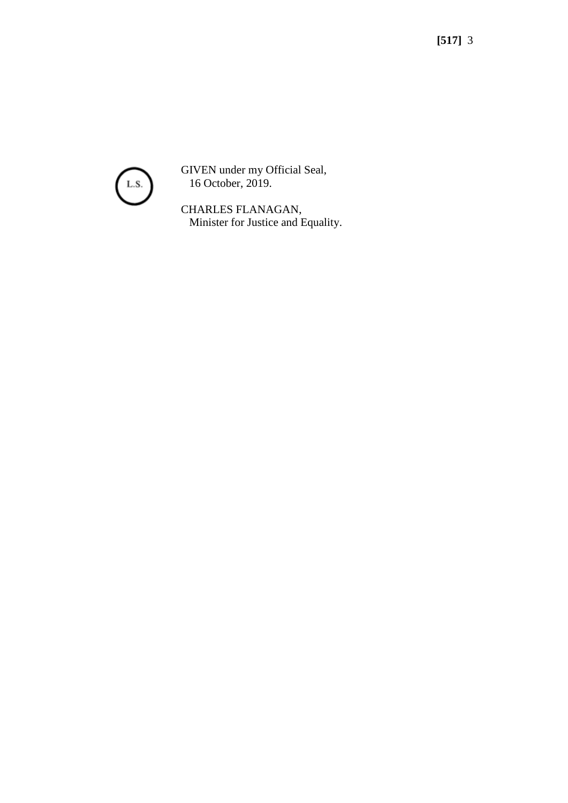

GIVEN under my Official Seal, 16 October, 2019.

CHARLES FLANAGAN, Minister for Justice and Equality.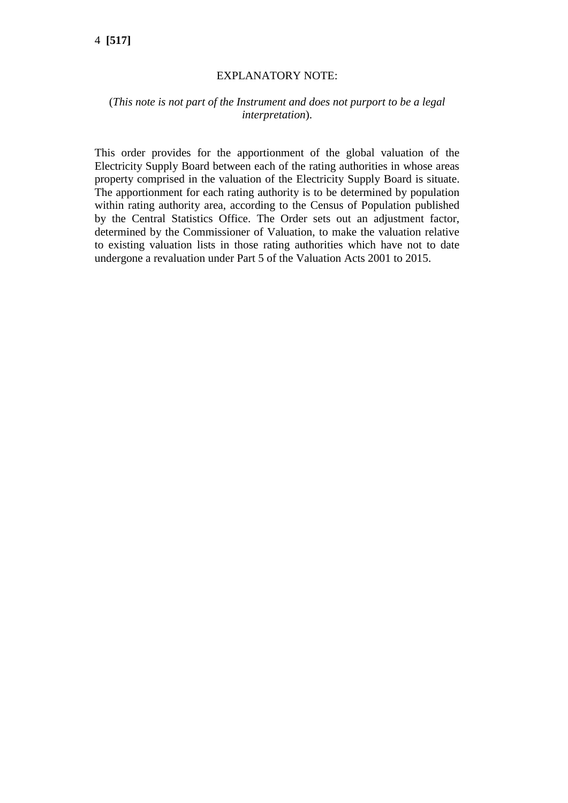# 4 **[517]**

#### EXPLANATORY NOTE:

## (*This note is not part of the Instrument and does not purport to be a legal interpretation*).

This order provides for the apportionment of the global valuation of the Electricity Supply Board between each of the rating authorities in whose areas property comprised in the valuation of the Electricity Supply Board is situate. The apportionment for each rating authority is to be determined by population within rating authority area, according to the Census of Population published by the Central Statistics Office. The Order sets out an adjustment factor, determined by the Commissioner of Valuation, to make the valuation relative to existing valuation lists in those rating authorities which have not to date undergone a revaluation under Part 5 of the Valuation Acts 2001 to 2015.